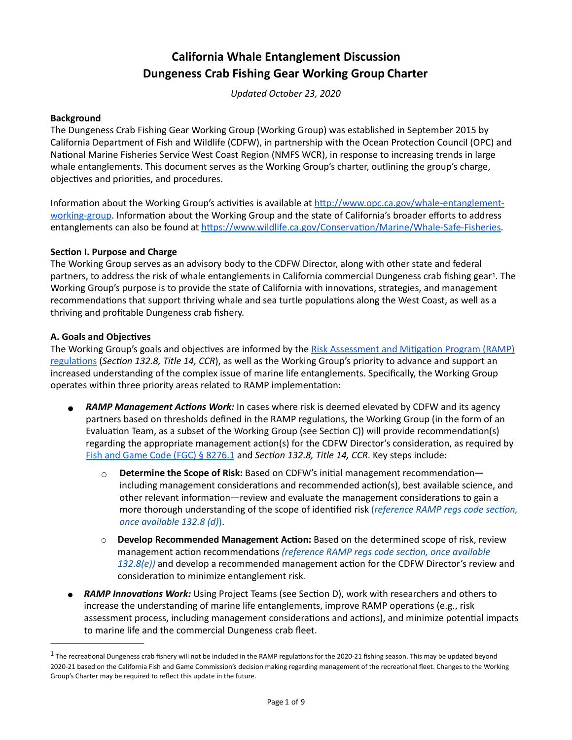# **California Whale Entanglement Discussion Dungeness Crab Fishing Gear Working Group Charter**

<span id="page-0-1"></span>*Updated October 23, 2020*

#### **Background**

The Dungeness Crab Fishing Gear Working Group (Working Group) was established in September 2015 by California Department of Fish and Wildlife (CDFW), in partnership with the Ocean Protection Council (OPC) and National Marine Fisheries Service West Coast Region (NMFS WCR), in response to increasing trends in large whale entanglements. This document serves as the Working Group's charter, outlining the group's charge, objectives and priorities, and procedures.

Information about the Working Group's activities is available at http://www.opc.ca.gov/whale-entanglement[working-group](http://www.opc.ca.gov/whale-entanglement-working-group). Information about the Working Group and the state of California's broader efforts to address entanglements can also be found at https://www.wildlife.ca.gov/Conservation/Marine/Whale-Safe-Fisheries.

#### **Section I. Purpose and Charge**

The Working Group serves as an advisory body to the CDFW Director, along with other state and federal partners, to address the risk of whale entanglements in California commercial Dungeness crab fishing gear<sup>[1](#page-0-0)</sup>. The Working Group's purpose is to provide the state of California with innovations, strategies, and management recommendations that support thriving whale and sea turtle populations along the West Coast, as well as a thriving and profitable Dungeness crab fishery.

#### **A. Goals and Objectives**

The Working Group's goals and objectives are informed by the Risk Assessment and Mitigation Program (RAMP) regulations (*Section 132.8, Title 14, CCR*), as well as the Working Group's priority to advance and support an increased understanding of the complex issue of marine life entanglements. Specifically, the Working Group operates within three priority areas related to RAMP implementation:

- **RAMP Management Actions Work:** In cases where risk is deemed elevated by CDFW and its agency partners based on thresholds defined in the RAMP regulations, the Working Group (in the form of an Evaluation Team, as a subset of the Working Group (see Section C)) will provide recommendation(s) regarding the appropriate management action(s) for the CDFW Director's consideration, as required by [Fish and Game Code \(FGC\) § 8276.1](http://leginfo.legislature.ca.gov/faces/codes_displaySection.xhtml?sectionNum=8276.1&lawCode=FGC) and *Section 132.8, Title 14, CCR*. Key steps include:
	- $\circ$  **Determine the Scope of Risk:** Based on CDFW's initial management recommendationincluding management considerations and recommended action(s), best available science, and other relevant information—review and evaluate the management considerations to gain a more thorough understanding of the scope of identified risk (*reference RAMP regs code section*, *once available 132.8 (d)*).
	- **O Develop Recommended Management Action:** Based on the determined scope of risk, review management action recommendations *(reference RAMP regs code section, once available* 132.8(e)) and develop a recommended management action for the CDFW Director's review and consideration to minimize entanglement risk.
- *RAMP Innovations Work:* Using Project Teams (see Section D), work with researchers and others to increase the understanding of marine life entanglements, improve RAMP operations (e.g., risk assessment process, including management considerations and actions), and minimize potential impacts to marine life and the commercial Dungeness crab fleet.

<span id="page-0-0"></span> $1$ The recreational Dungeness crab fishery will not be included in the RAMP regulations for the 2020-21 fishing season. This may be updated beyond 2020-21 based on the California Fish and Game Commission's decision making regarding management of the recreational fleet. Changes to the Working Group's Charter may be required to reflect this update in the future.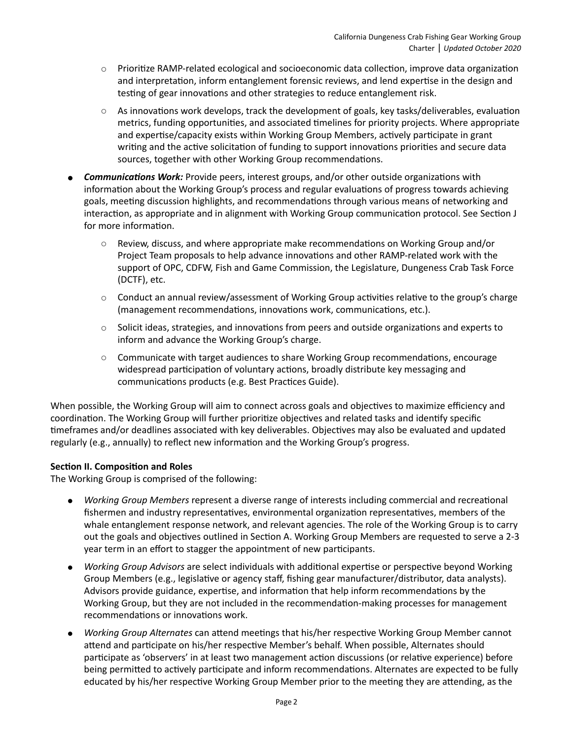- $\circ$  Prioritize RAMP-related ecological and socioeconomic data collection, improve data organization and interpretation, inform entanglement forensic reviews, and lend expertise in the design and testing of gear innovations and other strategies to reduce entanglement risk.
- As innovations work develops, track the development of goals, key tasks/deliverables, evaluation metrics, funding opportunities, and associated timelines for priority projects. Where appropriate and expertise/capacity exists within Working Group Members, actively participate in grant writing and the active solicitation of funding to support innovations priorities and secure data sources, together with other Working Group recommendations.
- **Communications Work:** Provide peers, interest groups, and/or other outside organizations with information about the Working Group's process and regular evaluations of progress towards achieving goals, meeting discussion highlights, and recommendations through various means of networking and interaction, as appropriate and in alignment with Working Group communication protocol. See Section J for more information.
	- $\circ$  Review, discuss, and where appropriate make recommendations on Working Group and/or Project Team proposals to help advance innovations and other RAMP-related work with the support of OPC, CDFW, Fish and Game Commission, the Legislature, Dungeness Crab Task Force (DCTF), etc.
	- $\circ$  Conduct an annual review/assessment of Working Group activities relative to the group's charge (management recommendations, innovations work, communications, etc.).
	- $\circ$  Solicit ideas, strategies, and innovations from peers and outside organizations and experts to inform and advance the Working Group's charge.
	- $\circ$  Communicate with target audiences to share Working Group recommendations, encourage widespread participation of voluntary actions, broadly distribute key messaging and communications products (e.g. Best Practices Guide).

When possible, the Working Group will aim to connect across goals and objectives to maximize efficiency and coordination. The Working Group will further prioritize objectives and related tasks and identify specific timeframes and/or deadlines associated with key deliverables. Objectives may also be evaluated and updated regularly (e.g., annually) to reflect new information and the Working Group's progress.

# **Section II. Composition and Roles**

The Working Group is comprised of the following:

- *Working Group Members* represent a diverse range of interests including commercial and recreational fishermen and industry representatives, environmental organization representatives, members of the whale entanglement response network, and relevant agencies. The role of the Working Group is to carry out the goals and objectives outlined in Section A. Working Group Members are requested to serve a 2-3 year term in an effort to stagger the appointment of new participants.
- *Working Group Advisors* are select individuals with additional expertise or perspective beyond Working Group Members (e.g., legislative or agency staff, fishing gear manufacturer/distributor, data analysts). Advisors provide guidance, expertise, and information that help inform recommendations by the Working Group, but they are not included in the recommendation-making processes for management recommendations or innovations work.
- *Working Group Alternates can attend meetings that his/her respective Working Group Member cannot* attend and participate on his/her respective Member's behalf. When possible, Alternates should participate as 'observers' in at least two management action discussions (or relative experience) before being permitted to actively participate and inform recommendations. Alternates are expected to be fully educated by his/her respective Working Group Member prior to the meeting they are attending, as the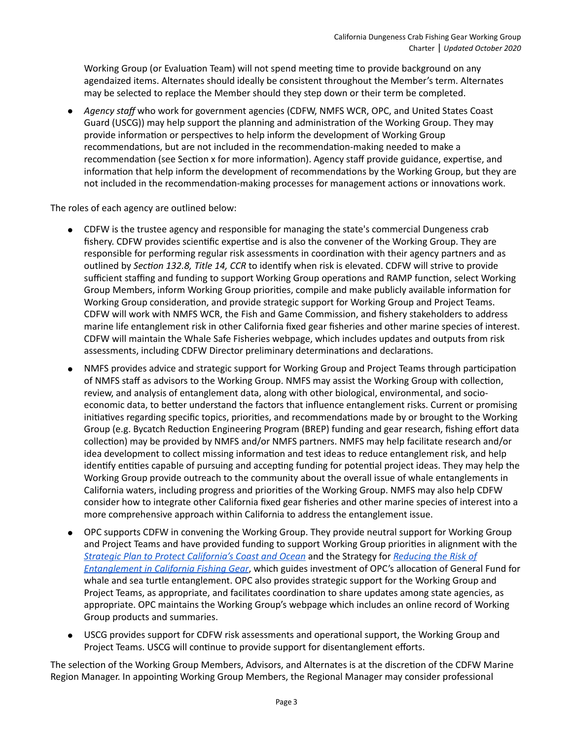Working Group (or Evaluation Team) will not spend meeting time to provide background on any agendaized items. Alternates should ideally be consistent throughout the Member's term. Alternates may be selected to replace the Member should they step down or their term be completed.

● *Agency staff* who work for government agencies (CDFW, NMFS WCR, OPC, and United States Coast Guard (USCG)) may help support the planning and administration of the Working Group. They may provide information or perspectives to help inform the development of Working Group recommendations, but are not included in the recommendation-making needed to make a recommendation (see Section x for more information). Agency staff provide guidance, expertise, and information that help inform the development of recommendations by the Working Group, but they are not included in the recommendation-making processes for management actions or innovations work.

The roles of each agency are outlined below:

- CDFW is the trustee agency and responsible for managing the state's commercial Dungeness crab fishery. CDFW provides scientific expertise and is also the convener of the Working Group. They are responsible for performing regular risk assessments in coordination with their agency partners and as outlined by *Section 132.8, Title 14, CCR* to identify when risk is elevated. CDFW will strive to provide sufficient staffing and funding to support Working Group operations and RAMP function, select Working Group Members, inform Working Group priorities, compile and make publicly available information for Working Group consideration, and provide strategic support for Working Group and Project Teams. CDFW will work with NMFS WCR, the Fish and Game Commission, and fishery stakeholders to address marine life entanglement risk in other California fixed gear fisheries and other marine species of interest. CDFW will maintain the Whale Safe Fisheries webpage, which includes updates and outputs from risk assessments, including CDFW Director preliminary determinations and declarations.
- NMFS provides advice and strategic support for Working Group and Project Teams through participation of NMFS staff as advisors to the Working Group. NMFS may assist the Working Group with collection, review, and analysis of entanglement data, along with other biological, environmental, and socioeconomic data, to better understand the factors that influence entanglement risks. Current or promising initiatives regarding specific topics, priorities, and recommendations made by or brought to the Working Group (e.g. Bycatch Reduction Engineering Program (BREP) funding and gear research, fishing effort data collection) may be provided by NMFS and/or NMFS partners. NMFS may help facilitate research and/or idea development to collect missing information and test ideas to reduce entanglement risk, and help identify entities capable of pursuing and accepting funding for potential project ideas. They may help the Working Group provide outreach to the community about the overall issue of whale entanglements in California waters, including progress and priorities of the Working Group. NMFS may also help CDFW consider how to integrate other California fixed gear fisheries and other marine species of interest into a more comprehensive approach within California to address the entanglement issue.
- OPC supports CDFW in convening the Working Group. They provide neutral support for Working Group and Project Teams and have provided funding to support Working Group priorities in alignment with the *[Strategic Plan to Protect California's Coast and Ocean](http://www.opc.ca.gov/webmaster/ftp/pdf/2020-2025-strategic-plan/OPC-2020-2025-Strategic-Plan-FINAL-20200228.pdf)* and the Strategy for *[Reducing the Risk of](http://www.opc.ca.gov/webmaster/_media_library/2020/01/Strategy_Reducing-the-Risk-of-Entanglement-in-California-Fishing-Gear_OPC-2019.pdf)  [Entanglement in California Fishing Gear](http://www.opc.ca.gov/webmaster/_media_library/2020/01/Strategy_Reducing-the-Risk-of-Entanglement-in-California-Fishing-Gear_OPC-2019.pdf)*, which guides investment of OPC's allocation of General Fund for whale and sea turtle entanglement. OPC also provides strategic support for the Working Group and Project Teams, as appropriate, and facilitates coordination to share updates among state agencies, as appropriate. OPC maintains the Working Group's webpage which includes an online record of Working Group products and summaries.
- USCG provides support for CDFW risk assessments and operational support, the Working Group and Project Teams. USCG will continue to provide support for disentanglement efforts.

The selection of the Working Group Members, Advisors, and Alternates is at the discretion of the CDFW Marine Region Manager. In appointing Working Group Members, the Regional Manager may consider professional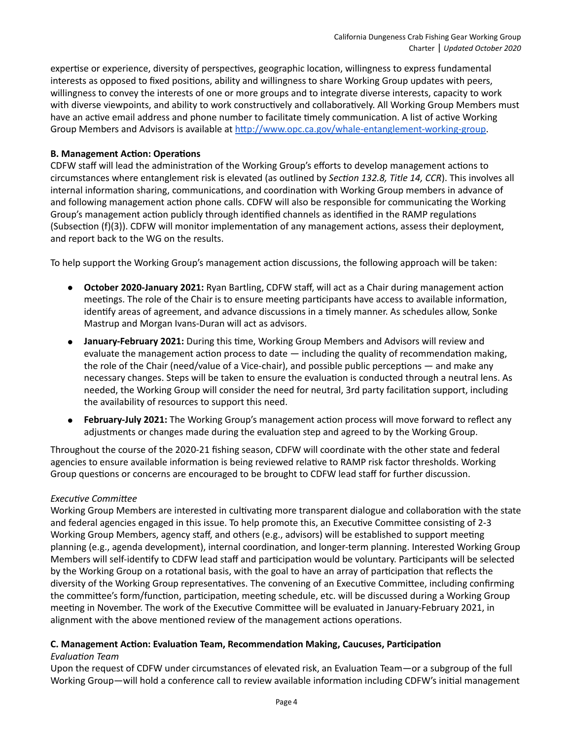expertise or experience, diversity of perspectives, geographic location, willingness to express fundamental interests as opposed to fixed positions, ability and willingness to share Working Group updates with peers, willingness to convey the interests of one or more groups and to integrate diverse interests, capacity to work with diverse viewpoints, and ability to work constructively and collaboratively. All Working Group Members must have an active email address and phone number to facilitate timely communication. A list of active Working Group Members and Advisors is available at http://www.opc.ca.gov/whale-entanglement-working-group.

## **B. Management Action: Operations**

CDFW staff will lead the administration of the Working Group's efforts to develop management actions to circumstances where entanglement risk is elevated (as outlined by Section 132.8, Title 14, CCR). This involves all internal information sharing, communications, and coordination with Working Group members in advance of and following management action phone calls. CDFW will also be responsible for communicating the Working Group's management action publicly through identified channels as identified in the RAMP regulations (Subsection (f)(3)). CDFW will monitor implementation of any management actions, assess their deployment, and report back to the WG on the results.

To help support the Working Group's management action discussions, the following approach will be taken:

- October 2020-January 2021: Ryan Bartling, CDFW staff, will act as a Chair during management action meetings. The role of the Chair is to ensure meeting participants have access to available information, identify areas of agreement, and advance discussions in a timely manner. As schedules allow, Sonke Mastrup and Morgan Ivans-Duran will act as advisors.
- **January-February 2021:** During this time, Working Group Members and Advisors will review and evaluate the management action process to date  $-$  including the quality of recommendation making, the role of the Chair (need/value of a Vice-chair), and possible public perceptions  $-$  and make any necessary changes. Steps will be taken to ensure the evaluation is conducted through a neutral lens. As needed, the Working Group will consider the need for neutral, 3rd party facilitation support, including the availability of resources to support this need.
- **February-July 2021:** The Working Group's management action process will move forward to reflect any adjustments or changes made during the evaluation step and agreed to by the Working Group.

Throughout the course of the 2020-21 fishing season, CDFW will coordinate with the other state and federal agencies to ensure available information is being reviewed relative to RAMP risk factor thresholds. Working Group questions or concerns are encouraged to be brought to CDFW lead staff for further discussion.

#### **Executive Committee**

Working Group Members are interested in cultivating more transparent dialogue and collaboration with the state and federal agencies engaged in this issue. To help promote this, an Executive Committee consisting of 2-3 Working Group Members, agency staff, and others (e.g., advisors) will be established to support meeting planning (e.g., agenda development), internal coordination, and longer-term planning. Interested Working Group Members will self-identify to CDFW lead staff and participation would be voluntary. Participants will be selected by the Working Group on a rotational basis, with the goal to have an array of participation that reflects the diversity of the Working Group representatives. The convening of an Executive Committee, including confirming the committee's form/function, participation, meeting schedule, etc. will be discussed during a Working Group meeting in November. The work of the Executive Committee will be evaluated in January-February 2021, in alignment with the above mentioned review of the management actions operations.

# **C. Management Action: Evaluation Team, Recommendation Making, Caucuses, Participation**

#### *Evaluation Team*

Upon the request of CDFW under circumstances of elevated risk, an Evaluation Team—or a subgroup of the full Working Group—will hold a conference call to review available information including CDFW's initial management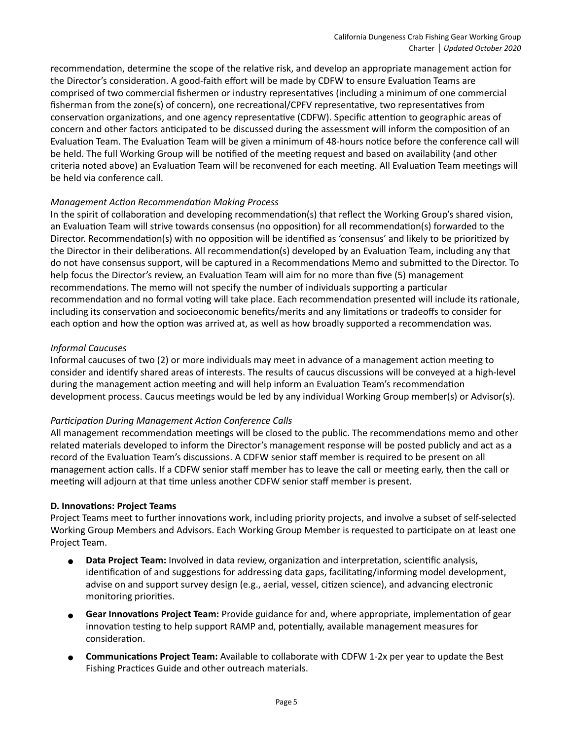recommendation, determine the scope of the relative risk, and develop an appropriate management action for the Director's consideration. A good-faith effort will be made by CDFW to ensure Evaluation Teams are comprised of two commercial fishermen or industry representatives (including a minimum of one commercial fisherman from the zone(s) of concern), one recreational/CPFV representative, two representatives from conservation organizations, and one agency representative (CDFW). Specific attention to geographic areas of concern and other factors anticipated to be discussed during the assessment will inform the composition of an Evaluation Team. The Evaluation Team will be given a minimum of 48-hours notice before the conference call will be held. The full Working Group will be notified of the meeting request and based on availability (and other criteria noted above) an Evaluation Team will be reconvened for each meeting. All Evaluation Team meetings will be held via conference call.

#### *Management Ac2on Recommenda2on Making Process*

In the spirit of collaboration and developing recommendation(s) that reflect the Working Group's shared vision, an Evaluation Team will strive towards consensus (no opposition) for all recommendation(s) forwarded to the Director. Recommendation(s) with no opposition will be identified as 'consensus' and likely to be prioritized by the Director in their deliberations. All recommendation(s) developed by an Evaluation Team, including any that do not have consensus support, will be captured in a Recommendations Memo and submitted to the Director. To help focus the Director's review, an Evaluation Team will aim for no more than five (5) management recommendations. The memo will not specify the number of individuals supporting a particular recommendation and no formal voting will take place. Each recommendation presented will include its rationale, including its conservation and socioeconomic benefits/merits and any limitations or tradeoffs to consider for each option and how the option was arrived at, as well as how broadly supported a recommendation was.

## *Informal Caucuses*

Informal caucuses of two (2) or more individuals may meet in advance of a management action meeting to consider and identify shared areas of interests. The results of caucus discussions will be conveyed at a high-level during the management action meeting and will help inform an Evaluation Team's recommendation development process. Caucus meetings would be led by any individual Working Group member(s) or Advisor(s).

# **Participation During Management Action Conference Calls**

All management recommendation meetings will be closed to the public. The recommendations memo and other related materials developed to inform the Director's management response will be posted publicly and act as a record of the Evaluation Team's discussions. A CDFW senior staff member is required to be present on all management action calls. If a CDFW senior staff member has to leave the call or meeting early, then the call or meeting will adjourn at that time unless another CDFW senior staff member is present.

#### **D. Innovations: Project Teams**

Project Teams meet to further innovations work, including priority projects, and involve a subset of self-selected Working Group Members and Advisors. Each Working Group Member is requested to participate on at least one Project Team.

- Data Project Team: Involved in data review, organization and interpretation, scientific analysis, identification of and suggestions for addressing data gaps, facilitating/informing model development, advise on and support survey design (e.g., aerial, vessel, citizen science), and advancing electronic monitoring priorities.
- **Gear Innovations Project Team:** Provide guidance for and, where appropriate, implementation of gear innovation testing to help support RAMP and, potentially, available management measures for consideration.
- **Communications Project Team:** Available to collaborate with CDFW 1-2x per year to update the Best Fishing Practices Guide and other outreach materials.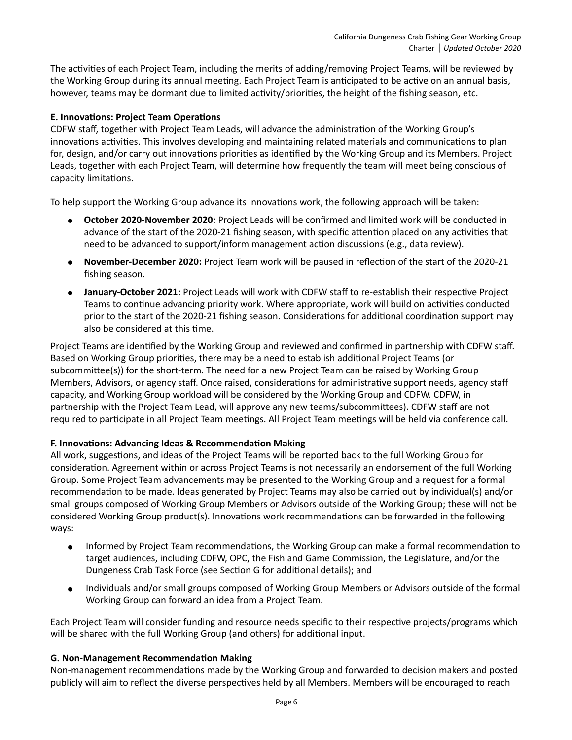The activities of each Project Team, including the merits of adding/removing Project Teams, will be reviewed by the Working Group during its annual meeting. Each Project Team is anticipated to be active on an annual basis, however, teams may be dormant due to limited activity/priorities, the height of the fishing season, etc.

## **E. Innovations: Project Team Operations**

CDFW staff, together with Project Team Leads, will advance the administration of the Working Group's innovations activities. This involves developing and maintaining related materials and communications to plan for, design, and/or carry out innovations priorities as identified by the Working Group and its Members. Project Leads, together with each Project Team, will determine how frequently the team will meet being conscious of capacity limitations.

To help support the Working Group advance its innovations work, the following approach will be taken:

- **October 2020-November 2020:** Project Leads will be confirmed and limited work will be conducted in advance of the start of the 2020-21 fishing season, with specific attention placed on any activities that need to be advanced to support/inform management action discussions (e.g., data review).
- **November-December 2020:** Project Team work will be paused in reflection of the start of the 2020-21 fishing season.
- **January-October 2021: Project Leads will work with CDFW staff to re-establish their respective Project** Teams to continue advancing priority work. Where appropriate, work will build on activities conducted prior to the start of the 2020-21 fishing season. Considerations for additional coordination support may also be considered at this time.

Project Teams are identified by the Working Group and reviewed and confirmed in partnership with CDFW staff. Based on Working Group priorities, there may be a need to establish additional Project Teams (or subcommittee(s)) for the short-term. The need for a new Project Team can be raised by Working Group Members, Advisors, or agency staff. Once raised, considerations for administrative support needs, agency staff capacity, and Working Group workload will be considered by the Working Group and CDFW. CDFW, in partnership with the Project Team Lead, will approve any new teams/subcommittees). CDFW staff are not required to participate in all Project Team meetings. All Project Team meetings will be held via conference call.

#### **F. Innovations: Advancing Ideas & Recommendation Making**

All work, suggestions, and ideas of the Project Teams will be reported back to the full Working Group for consideration. Agreement within or across Project Teams is not necessarily an endorsement of the full Working Group. Some Project Team advancements may be presented to the Working Group and a request for a formal recommendation to be made. Ideas generated by Project Teams may also be carried out by individual(s) and/or small groups composed of Working Group Members or Advisors outside of the Working Group; these will not be considered Working Group product(s). Innovations work recommendations can be forwarded in the following ways:

- Informed by Project Team recommendations, the Working Group can make a formal recommendation to target audiences, including CDFW, OPC, the Fish and Game Commission, the Legislature, and/or the Dungeness Crab Task Force (see Section G for additional details); and
- Individuals and/or small groups composed of Working Group Members or Advisors outside of the formal Working Group can forward an idea from a Project Team.

Each Project Team will consider funding and resource needs specific to their respective projects/programs which will be shared with the full Working Group (and others) for additional input.

#### **G. Non-Management Recommendation Making**

Non-management recommendations made by the Working Group and forwarded to decision makers and posted publicly will aim to reflect the diverse perspectives held by all Members. Members will be encouraged to reach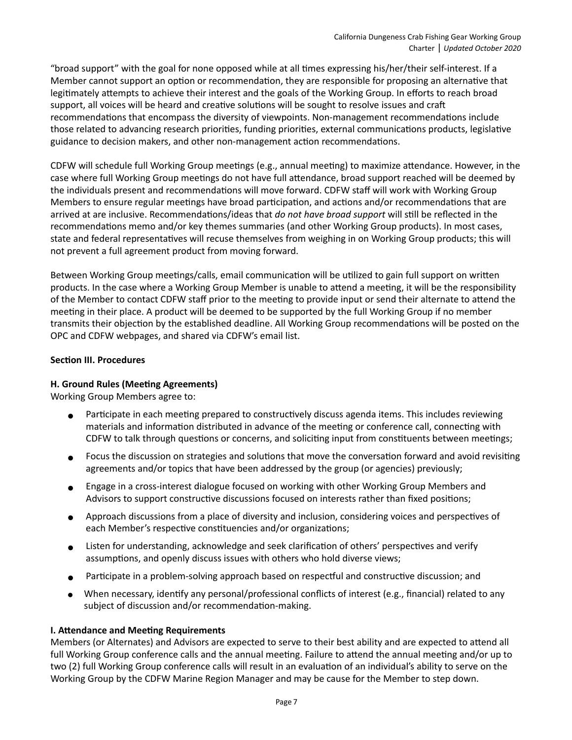"broad support" with the goal for none opposed while at all times expressing his/her/their self-interest. If a Member cannot support an option or recommendation, they are responsible for proposing an alternative that legitimately attempts to achieve their interest and the goals of the Working Group. In efforts to reach broad support, all voices will be heard and creative solutions will be sought to resolve issues and craft recommendations that encompass the diversity of viewpoints. Non-management recommendations include those related to advancing research priorities, funding priorities, external communications products, legislative guidance to decision makers, and other non-management action recommendations.

CDFW will schedule full Working Group meetings (e.g., annual meeting) to maximize attendance. However, in the case where full Working Group meetings do not have full attendance, broad support reached will be deemed by the individuals present and recommendations will move forward. CDFW staff will work with Working Group Members to ensure regular meetings have broad participation, and actions and/or recommendations that are arrived at are inclusive. Recommendations/ideas that *do not have broad support* will still be reflected in the recommendations memo and/or key themes summaries (and other Working Group products). In most cases, state and federal representatives will recuse themselves from weighing in on Working Group products; this will not prevent a full agreement product from moving forward.

Between Working Group meetings/calls, email communication will be utilized to gain full support on written products. In the case where a Working Group Member is unable to attend a meeting, it will be the responsibility of the Member to contact CDFW staff prior to the meeting to provide input or send their alternate to attend the meeting in their place. A product will be deemed to be supported by the full Working Group if no member transmits their objection by the established deadline. All Working Group recommendations will be posted on the OPC and CDFW webpages, and shared via CDFW's email list.

## **Section III. Procedures**

#### **H. Ground Rules (Meeting Agreements)**

Working Group Members agree to:

- Participate in each meeting prepared to constructively discuss agenda items. This includes reviewing materials and information distributed in advance of the meeting or conference call, connecting with CDFW to talk through questions or concerns, and soliciting input from constituents between meetings;
- Focus the discussion on strategies and solutions that move the conversation forward and avoid revisiting agreements and/or topics that have been addressed by the group (or agencies) previously;
- ! Engage in a cross-interest dialogue focused on working with other Working Group Members and Advisors to support constructive discussions focused on interests rather than fixed positions;
- $\bullet$  Approach discussions from a place of diversity and inclusion, considering voices and perspectives of each Member's respective constituencies and/or organizations;
- **.** Listen for understanding, acknowledge and seek clarification of others' perspectives and verify assumptions, and openly discuss issues with others who hold diverse views;
- $\bullet$  Participate in a problem-solving approach based on respectful and constructive discussion; and
- When necessary, identify any personal/professional conflicts of interest (e.g., financial) related to any subject of discussion and/or recommendation-making.

#### **I. Attendance and Meeting Requirements**

Members (or Alternates) and Advisors are expected to serve to their best ability and are expected to attend all full Working Group conference calls and the annual meeting. Failure to attend the annual meeting and/or up to two (2) full Working Group conference calls will result in an evaluation of an individual's ability to serve on the Working Group by the CDFW Marine Region Manager and may be cause for the Member to step down.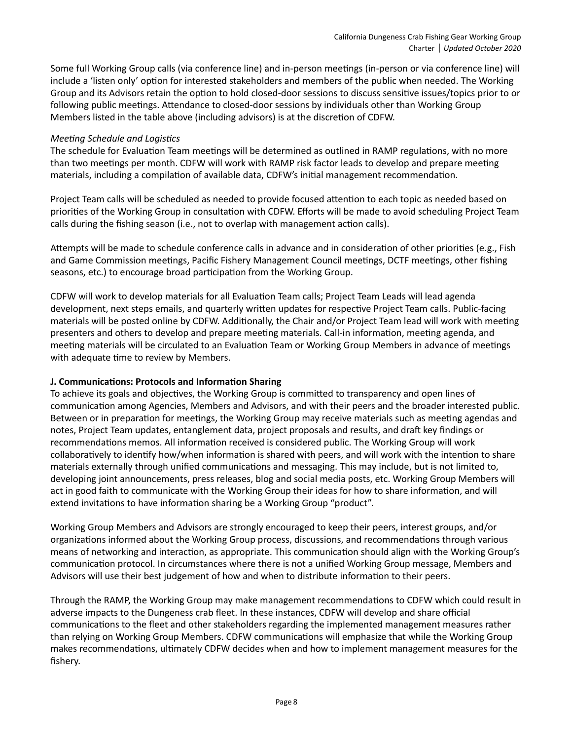Some full Working Group calls (via conference line) and in-person meetings (in-person or via conference line) will include a 'listen only' option for interested stakeholders and members of the public when needed. The Working Group and its Advisors retain the option to hold closed-door sessions to discuss sensitive issues/topics prior to or following public meetings. Attendance to closed-door sessions by individuals other than Working Group Members listed in the table above (including advisors) is at the discretion of CDFW.

#### *Meeting Schedule and Logistics*

The schedule for Evaluation Team meetings will be determined as outlined in RAMP regulations, with no more than two meetings per month. CDFW will work with RAMP risk factor leads to develop and prepare meeting materials, including a compilation of available data, CDFW's initial management recommendation.

Project Team calls will be scheduled as needed to provide focused attention to each topic as needed based on priorities of the Working Group in consultation with CDFW. Efforts will be made to avoid scheduling Project Team calls during the fishing season (i.e., not to overlap with management action calls).

Attempts will be made to schedule conference calls in advance and in consideration of other priorities (e.g., Fish and Game Commission meetings, Pacific Fishery Management Council meetings, DCTF meetings, other fishing seasons, etc.) to encourage broad participation from the Working Group.

CDFW will work to develop materials for all Evaluation Team calls; Project Team Leads will lead agenda development, next steps emails, and quarterly written updates for respective Project Team calls. Public-facing materials will be posted online by CDFW. Additionally, the Chair and/or Project Team lead will work with meeting presenters and others to develop and prepare meeting materials. Call-in information, meeting agenda, and meeting materials will be circulated to an Evaluation Team or Working Group Members in advance of meetings with adequate time to review by Members.

#### **J. Communications: Protocols and Information Sharing**

To achieve its goals and objectives, the Working Group is committed to transparency and open lines of communication among Agencies, Members and Advisors, and with their peers and the broader interested public. Between or in preparation for meetings, the Working Group may receive materials such as meeting agendas and notes, Project Team updates, entanglement data, project proposals and results, and draft key findings or recommendations memos. All information received is considered public. The Working Group will work collaboratively to identify how/when information is shared with peers, and will work with the intention to share materials externally through unified communications and messaging. This may include, but is not limited to, developing joint announcements, press releases, blog and social media posts, etc. Working Group Members will act in good faith to communicate with the Working Group their ideas for how to share information, and will extend invitations to have information sharing be a Working Group "product".

Working Group Members and Advisors are strongly encouraged to keep their peers, interest groups, and/or organizations informed about the Working Group process, discussions, and recommendations through various means of networking and interaction, as appropriate. This communication should align with the Working Group's communication protocol. In circumstances where there is not a unified Working Group message, Members and Advisors will use their best judgement of how and when to distribute information to their peers.

Through the RAMP, the Working Group may make management recommendations to CDFW which could result in adverse impacts to the Dungeness crab fleet. In these instances, CDFW will develop and share official communications to the fleet and other stakeholders regarding the implemented management measures rather than relying on Working Group Members. CDFW communications will emphasize that while the Working Group makes recommendations, ultimately CDFW decides when and how to implement management measures for the fishery.